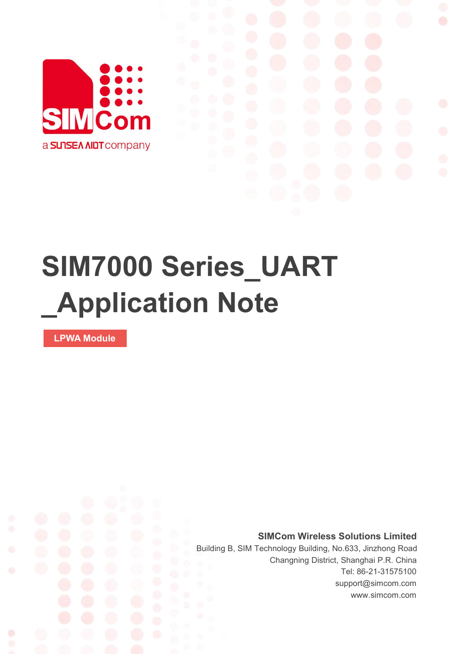

# **SIM7000 Series\_UART \_Application Note**

**LPWA Module**

Ø

**SIMCom Wireless Solutions Limited**

Building B, SIM Technology Building, No.633, Jinzhong Road Changning District, Shanghai P.R. China Tel: 86-21-31575100 support@simcom.com www.simcom.com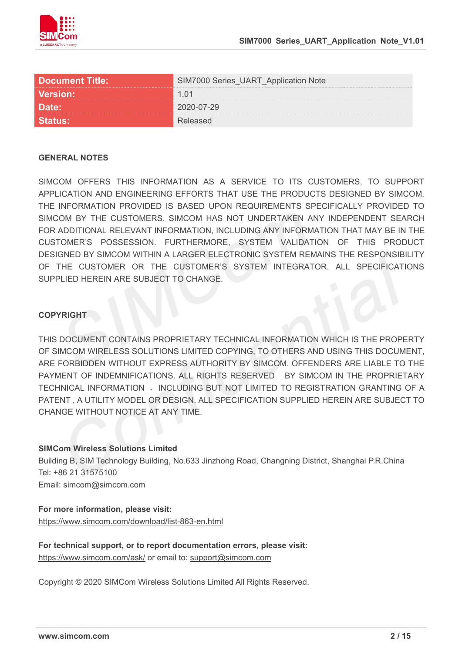

| <b>Document Title:</b> | <b>IM7000 Series UART Application Note</b> |
|------------------------|--------------------------------------------|
| <b>Version:</b>        |                                            |
| лате:                  | 20-07-29                                   |
|                        |                                            |

#### **GENERAL NOTES**

SIMCOM OFFERS THIS INFORMATION AS A SERVICE TO ITS CUSTOMERS. TO SUPPORT APPLICATION AND ENGINEERING EFFORTS THAT USE THE PRODUCTS DESIGNED BY SIMCOM. THE INFORMATION PROVIDED IS BASED UPON REQUIREMENTS SPECIFICALLY PROVIDED TO SIMCOM BY THE CUSTOMERS. SIMCOM HAS NOT UNDERTAKEN ANY INDEPENDENT SEARCH FOR ADDITIONAL RELEVANT INFORMATION, INCLUDING ANY INFORMATION THAT MAY BE IN THE CUSTOMER'S POSSESSION. FURTHERMORE, SYSTEM VALIDATION OF THIS PRODUCT DESIGNED BY SIMCOM WITHIN A LARGER ELECTRONIC SYSTEM REMAINS THE RESPONSIBILITY OF THE CUSTOMER OR THE CUSTOMER'S SYSTEM INTEGRATOR. ALL SPECIFICATIONS SUPPLIED HEREIN ARE SUBJECT TO CHANGE.

#### **COPYRIGHT**

THIS DOCUMENT CONTAINS PROPRIETARY TECHNICAL INFORMATION WHICH IS THE PROPERTY OF SIMCOM WIRELESS SOLUTIONS LIMITED COPYING, TO OTHERS AND USING THIS DOCUMENT, ARE FORBIDDEN WITHOUT EXPRESS AUTHORITY BY SIMCOM. OFFENDERS ARE LIABLE TO THE PAYMENT OF INDEMNIFICATIONS. ALL RIGHTS RESERVED BY SIMCOM IN THE PROPRIETARY TECHNICAL INFORMATION , INCLUDING BUT NOT LIMITED TO REGISTRATION GRANTING OF A PATENT , A UTILITY MODEL OR DESIGN. ALL SPECIFICATION SUPPLIED HEREIN ARE SUBJECT TO CHANGE WITHOUT NOTICE AT ANY TIME.

#### **SIMCom Wireless Solutions Limited**

Building B, SIM Technology Building, No.633 Jinzhong Road, Changning District, Shanghai P.R.China Tel: +86 21 31575100 Email: simcom@simcom.com

#### **For more information, please visit:**

https://www.simcom.com/download/list-863-en.html

**For technical support, or to report documentation errors, please visit:** https://www.simcom.com/ask/ or email to: support@simcom.com

Copyright © 2020 SIMCom Wireless Solutions Limited All Rights Reserved.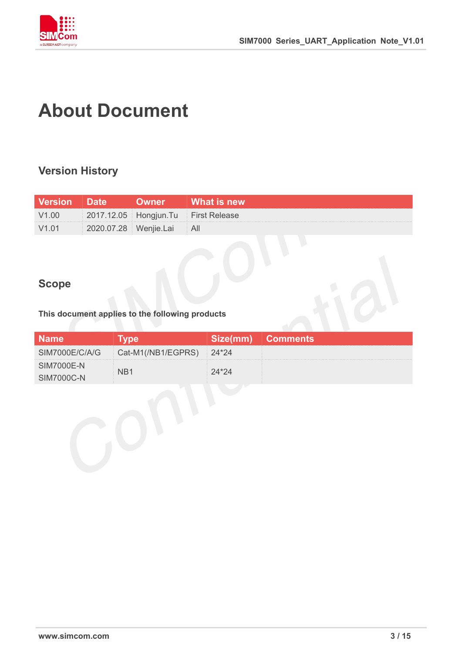

# <span id="page-2-0"></span>**About Document**

### <span id="page-2-1"></span>**Version History**

| <b>Version</b> Date |                           | 「 Owner   What is new」              |
|---------------------|---------------------------|-------------------------------------|
| V1.00               |                           | 2017.12.05 Hongjun.Tu First Release |
| V1.01               | 2020.07.28 Wenjie.Lai All |                                     |

### <span id="page-2-2"></span>**Scope**

#### **This document applies to the following products**

| <b>Name</b>       |                                             | 'Size(mm) Comments, |
|-------------------|---------------------------------------------|---------------------|
|                   | SIM7000E/C/A/G   Cat-M1(/NB1/EGPRS)   24*24 |                     |
| <b>SIM7000E-N</b> |                                             |                     |
| $SIM7000C-N$      |                                             |                     |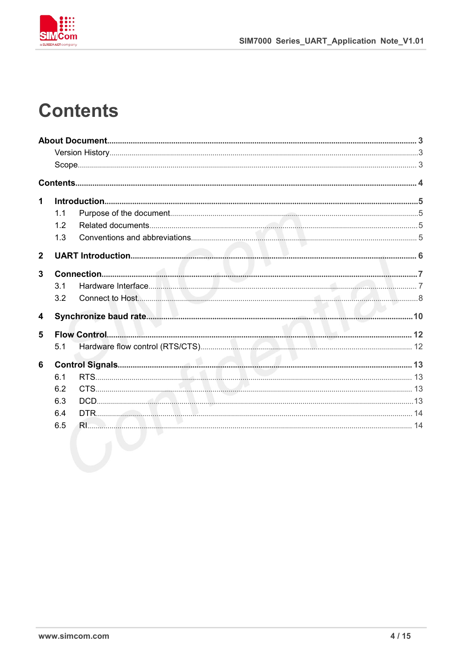

# <span id="page-3-0"></span>**Contents**

| 1              |     |  |
|----------------|-----|--|
|                | 1.1 |  |
|                | 1.2 |  |
|                | 1.3 |  |
| $\overline{2}$ |     |  |
| 3              |     |  |
|                | 3.1 |  |
|                | 3.2 |  |
| 4              |     |  |
| 5              |     |  |
|                | 5.1 |  |
| 6              |     |  |
|                | 6.1 |  |
|                | 6.2 |  |
|                | 6.3 |  |
|                | 6.4 |  |
|                | 6.5 |  |
|                |     |  |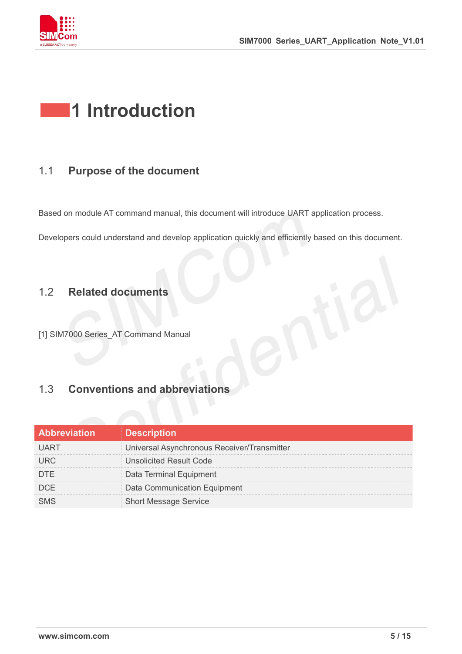

# <span id="page-4-0"></span>**1 Introduction**

### <span id="page-4-1"></span>1.1 **Purpose of the document**

Based on module AT command manual, this document will introduce UART application process.

Developers could understand and develop application quickly and efficiently based on this document.

#### <span id="page-4-2"></span>1.2 **Related documents**

[1] SIM7000 Series\_AT Command Manual

### <span id="page-4-3"></span>1.3 **Conventions and abbreviations**

| <b>Abbreviation</b> | <b>Description</b>                          |
|---------------------|---------------------------------------------|
|                     | Universal Asynchronous Receiver/Transmitter |
|                     | Unsolicited Result Code                     |
|                     | Data Terminal Equipment                     |
| DCE                 | Data Communication Equipment                |
|                     | <b>Short Message Service</b>                |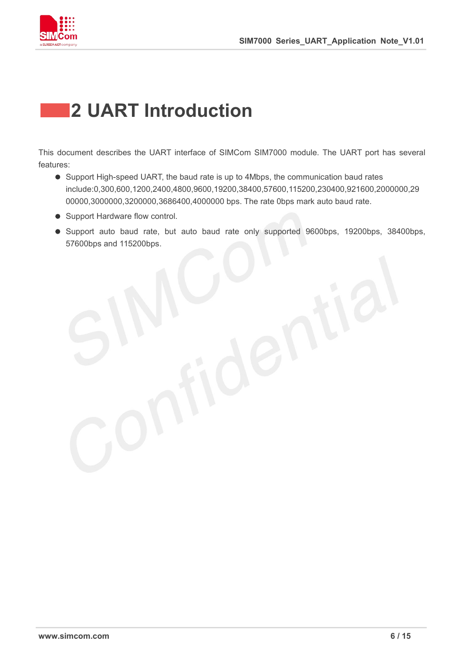

# <span id="page-5-0"></span>**2 UART Introduction**

This document describes the UART interface of SIMCom SIM7000 module. The UART porthas several features:

- Support High-speed UART, the baud rate is up to 4Mbps, the communication baud rates include:0,300,600,1200,2400,4800,9600,19200,38400,57600,115200,230400,921600,2000000,29 00000,3000000,3200000,3686400,4000000 bps. The rate 0bps mark auto baud rate.
- Support Hardware flow control.
- Support auto baud rate, but auto baud rate only supported 9600bps, 19200bps, 38400bps, 57600bps and 115200bps.

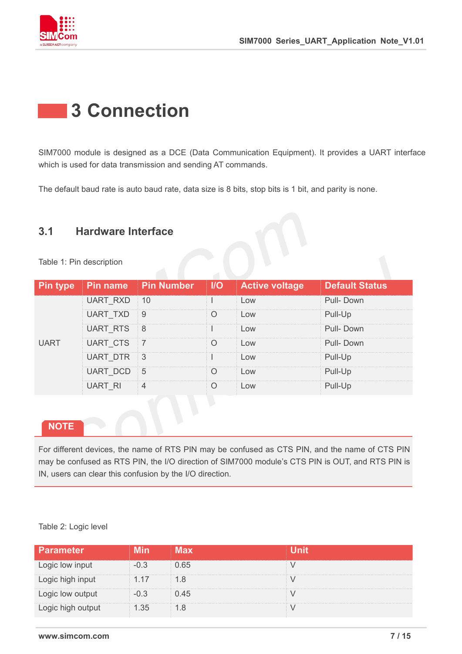

# <span id="page-6-0"></span>**3 Connection**

SIM7000 module is designed as a DCE (Data Communication Equipment). It provides a UART interface which is used for data transmission and sending AT commands.

The default baud rate is auto baud rate, data size is 8 bits, stop bits is 1 bit, and parity is none.

### <span id="page-6-1"></span>**3.1 Hardware Interface**

| Table 1: Pin description |  |
|--------------------------|--|
|--------------------------|--|

|             |            |                |                    | Pin type Pin name Pin Number   I/O   Active voltage | <b>Default Status</b> |
|-------------|------------|----------------|--------------------|-----------------------------------------------------|-----------------------|
|             | UART RXD   | $\parallel$ 10 | <b>All Control</b> | $\Omega$                                            | Pull-Down             |
|             | JAR I      | 9              |                    | $-0W$                                               | Pull-Up               |
|             | UART RTS 8 |                | $\mathbf{r}$       | $\bigcap M$                                         | Pull-Down             |
| <b>UART</b> | UART CTS   | $\overline{7}$ |                    | OW <sub>o</sub>                                     | Pull-Down             |
|             | JART DTR   | - 3            |                    | <b>OW</b>                                           | Pull-Up               |
|             |            | $5^{\circ}$    |                    | $\bigcap M$                                         |                       |
|             | UART RI    |                |                    | <b>OW</b>                                           |                       |
|             |            |                |                    |                                                     |                       |

#### **NOTE**

For different devices, the name of RTS PIN may be confused as CTS PIN, and the name of CTS PIN may be confused as RTS PIN, the I/O direction of SIM7000 module's CTS PIN is OUT, and RTS PIN is IN, users can clear this confusion by the I/O direction.

#### Table 2: Logic level

| Parameter        |      |      |  |
|------------------|------|------|--|
| Logic low input  |      |      |  |
| Logic high input | 1.17 |      |  |
| ogic low output  |      | ) 45 |  |
| ogic high output |      |      |  |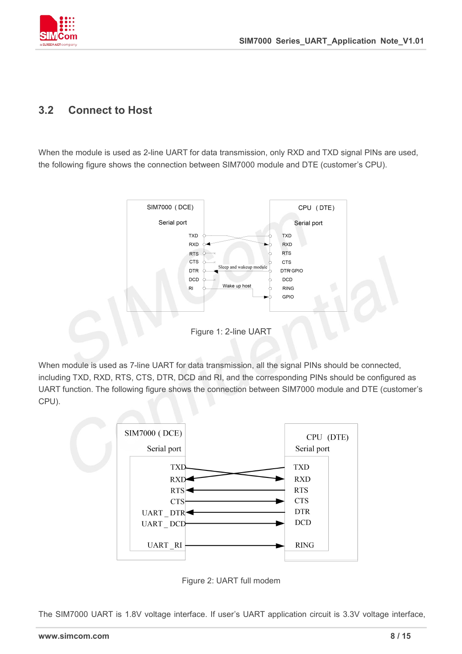

#### <span id="page-7-0"></span>**3.2 Connect to Host**

When the module is used as 2-line UART for data transmission, only RXD and TXD signal PINs are used, the following figure shows the connection between SIM7000 module and DTE (customer's CPU).



When module is used as 7-line UART for data transmission, all the signal PINs should be connected, including TXD, RXD, RTS, CTS, DTR, DCD and RI, and the corresponding PINs should be configured as UART function. The following figure shows the connection between SIM7000 module and DTE (customer's CPU).



Figure 2: UART full modem

The SIM7000 UART is 1.8V voltage interface. If user's UART application circuit is 3.3V voltage interface,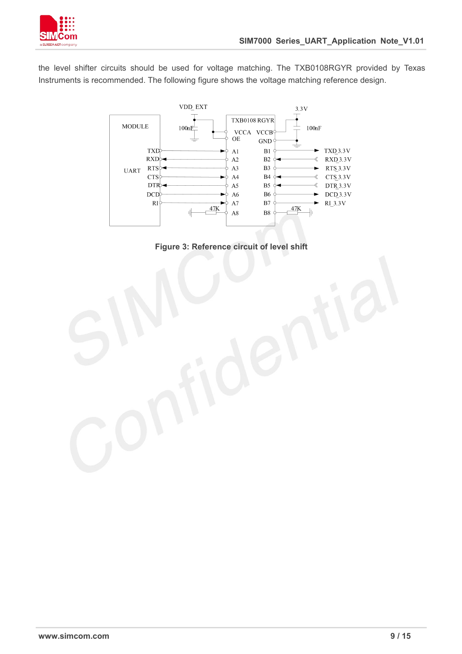

the level shifter circuits should be used for voltage matching. The TXB0108RGYR provided by Texas Instruments is recommended. The following figure shows the voltage matching reference design.



**Figure 3: Reference circuit of level shift**

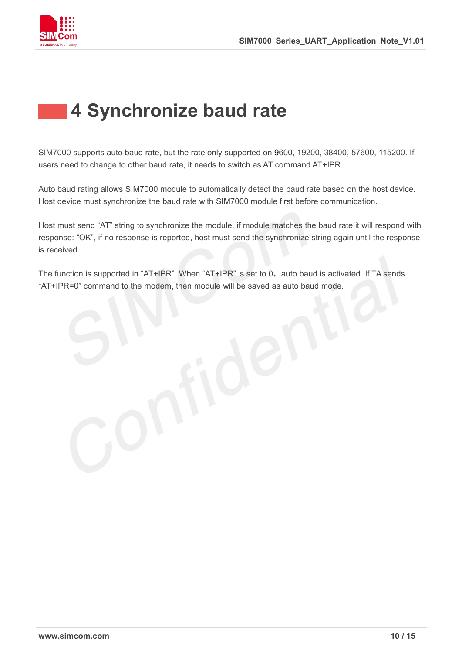

# <span id="page-9-0"></span>**4 Synchronize baud rate**

SIM7000 supports auto baud rate, but the rate only supported on 9600, 19200, 38400, 57600, 115200. If users need to change to other baud rate, it needs to switch as AT command AT+IPR.

Auto baud rating allows SIM7000 module to automatically detect the baud rate based on the host device. Host device must synchronize the baud rate with SIM7000 module first before communication.

Host must send "AT" string to synchronize the module, if module matches the baud rate it will respond with response: "OK", if no response is reported, host must send the synchronize string again until the response is received.

The function is supported in "AT+IPR". When "AT+IPR" is set to 0, auto baud is activated. If TA sends "AT+IPR=0" command to the modem, then module will be saved as auto baud mode.

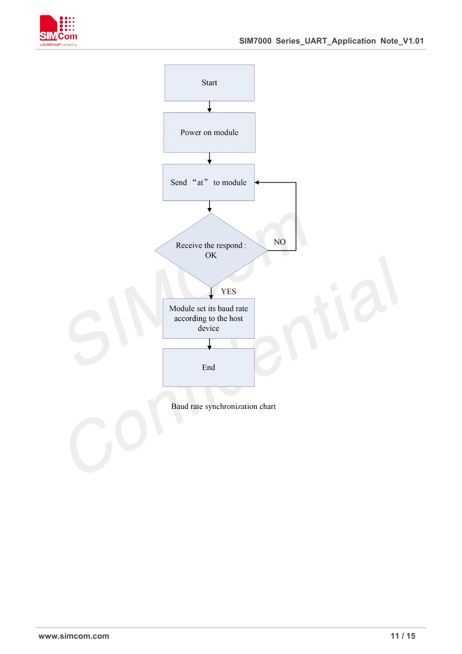



Baud rate synchronization chart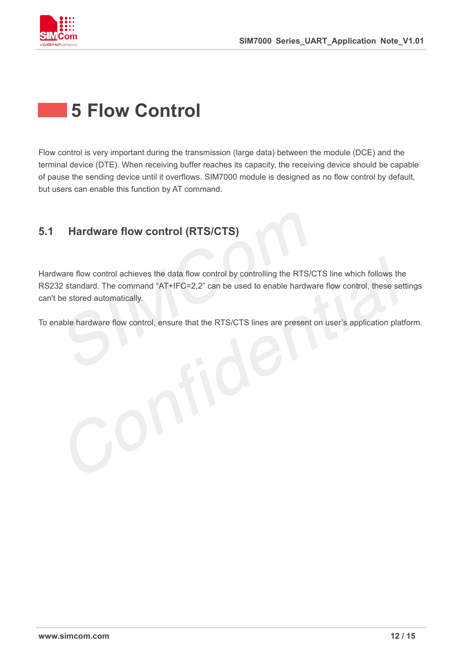

## <span id="page-11-0"></span>**5 Flow Control**

Flow control is very important during the transmission (large data) between the module (DCE) and the terminal device (DTE). When receiving buffer reaches its capacity, the receiving device should be capable of pause the sending device until it overflows. SIM7000 module is designed as no flow control by default, but users can enable this function by AT command.

### <span id="page-11-1"></span>**5.1 Hardware flow control (RTS/CTS)**

Hardware flow control achieves the data flow control by controlling the RTS/CTS line which follows the RS232 standard. The command "AT+IFC=2,2" can be used to enable hardware flow control, these settings can't be stored automatically.

To enable hardware flow control, ensure that the RTS/CTS lines are present on user's application platform.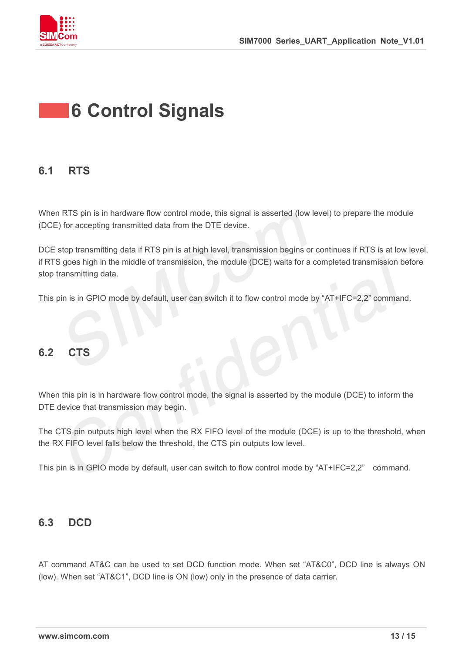

# <span id="page-12-0"></span>**6 Control Signals**

### <span id="page-12-1"></span>**6.1 RTS**

When RTS pin is in hardware flow control mode, this signal is asserted (low level) to prepare the module (DCE) for accepting transmitted data from the DTE device.

DCE stop transmitting data if RTS pin is at high level, transmission begins or continues if RTS is at low level, if RTS goes high in the middle of transmission, the module (DCE) waits for a completed transmission before stop transmitting data.

This pin is in GPIO mode by default, user can switch it to flow control mode by "AT+IFC=2,2" command.

### <span id="page-12-2"></span>**6.2 CTS**

When this pin is in hardware flow control mode, the signal is asserted by the module (DCE) to inform the DTE device that transmission may begin.

The CTS pin outputs high level when the RX FIFO level of the module (DCE) is up to the threshold, when the RX FIFO level falls below the threshold, the CTS pin outputs low level.

This pin is in GPIO mode by default, user can switch to flow control mode by "AT+IFC=2,2" command.

### <span id="page-12-3"></span>**6.3 DCD**

AT command AT&C can be used to set DCD function mode. When set "AT&C0", DCD line is always ON (low). When set "AT&C1", DCD line is ON (low) only in the presence of data carrier.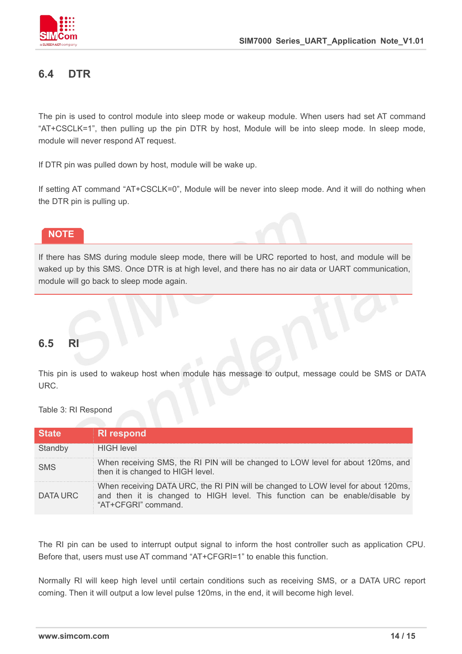

### <span id="page-13-0"></span>**6.4 DTR**

The pin is used to control module into sleep mode or wakeup module. When users had set AT command "AT+CSCLK=1", then pulling up the pin DTR by host, Module will be into sleep mode. In sleep mode, module will never respond AT request.

If DTR pin was pulled down by host, module will be wake up.

If setting AT command "AT+CSCLK=0", Module will be never into sleep mode. And it will do nothing when the DTR pin is pulling up.

#### **NOTE**

If there has SMS during module sleep mode, there will be URC reported to host, and module will be waked up by this SMS. Once DTR is at high level, and there has no air data or UART communication, module will go back to sleep mode again.

#### <span id="page-13-1"></span>**6.5 RI**

This pin is used to wakeup host when module has message to output, message could be SMS or DATA URC.

Table 3: RI Respond

| <b>State</b> | <b>RI</b> respond                                                                                                                                                                        |
|--------------|------------------------------------------------------------------------------------------------------------------------------------------------------------------------------------------|
| Standby      | <b>HIGH level</b>                                                                                                                                                                        |
| <b>SMS</b>   | When receiving SMS, the RI PIN will be changed to LOW level for about 120ms, and<br>then it is changed to HIGH level.                                                                    |
| DATA URC     | When receiving DATA URC, the RI PIN will be changed to LOW level for about 120ms,<br>and then it is changed to HIGH level. This function can be enable/disable by<br>"AT+CFGRI" command. |

The RI pin can be used to interrupt output signal to inform the host controller such as application CPU. Before that, users must use AT command "AT+CFGRI=1" to enable this function.

Normally RI will keep high level until certain conditions such as receiving SMS, or a DATA URC report coming. Then it will output a low level pulse 120ms, in the end, it will become high level.